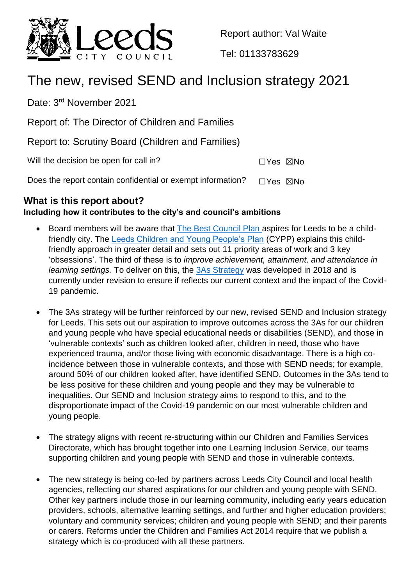

Report author: Val Waite

Tel: 01133783629

# The new, revised SEND and Inclusion strategy 2021

Date: 3<sup>rd</sup> November 2021

Report of: The Director of Children and Families

Report to: Scrutiny Board (Children and Families)

Will the decision be open for call in?  $\square Y$ es  $\square$ No

Does the report contain confidential or exempt information?  $\Box$ Yes  $\boxtimes$ No

# **What is this report about?**

# **Including how it contributes to the city's and council's ambitions**

- Board members will be aware that [The Best Council Plan a](https://www.leeds.gov.uk/docs/BCP%202020-2025.PDF)spires for Leeds to be a childfriendly city. The [Leeds Children and Young People's Plan](https://www.leeds.gov.uk/childfriendlyleeds/Documents/CMT18-022%20Childrens%20and%20YP%20Plan%2018-23.pdf) (CYPP) explains this childfriendly approach in greater detail and sets out 11 priority areas of work and 3 key 'obsessions'. The third of these is to *improve achievement, attainment, and attendance in learning settings.* To deliver on this, the [3As Strategy](https://www.leedsforlearning.co.uk/Page/15548) was developed in 2018 and is currently under revision to ensure if reflects our current context and the impact of the Covid-19 pandemic.
- The 3As strategy will be further reinforced by our new, revised SEND and Inclusion strategy for Leeds. This sets out our aspiration to improve outcomes across the 3As for our children and young people who have special educational needs or disabilities (SEND), and those in 'vulnerable contexts' such as children looked after, children in need, those who have experienced trauma, and/or those living with economic disadvantage. There is a high coincidence between those in vulnerable contexts, and those with SEND needs; for example, around 50% of our children looked after, have identified SEND. Outcomes in the 3As tend to be less positive for these children and young people and they may be vulnerable to inequalities. Our SEND and Inclusion strategy aims to respond to this, and to the disproportionate impact of the Covid-19 pandemic on our most vulnerable children and young people.
- The strategy aligns with recent re-structuring within our Children and Families Services Directorate, which has brought together into one Learning Inclusion Service, our teams supporting children and young people with SEND and those in vulnerable contexts.
- The new strategy is being co-led by partners across Leeds City Council and local health agencies, reflecting our shared aspirations for our children and young people with SEND. Other key partners include those in our learning community, including early years education providers, schools, alternative learning settings, and further and higher education providers; voluntary and community services; children and young people with SEND; and their parents or carers. Reforms under the Children and Families Act 2014 require that we publish a strategy which is co-produced with all these partners.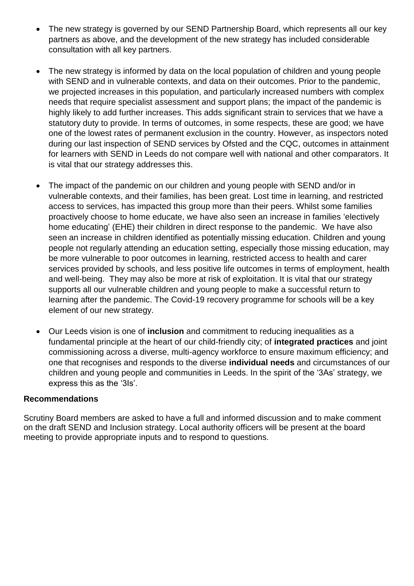- The new strategy is governed by our SEND Partnership Board, which represents all our key partners as above, and the development of the new strategy has included considerable consultation with all key partners.
- The new strategy is informed by data on the local population of children and young people with SEND and in vulnerable contexts, and data on their outcomes. Prior to the pandemic, we projected increases in this population, and particularly increased numbers with complex needs that require specialist assessment and support plans; the impact of the pandemic is highly likely to add further increases. This adds significant strain to services that we have a statutory duty to provide. In terms of outcomes, in some respects, these are good; we have one of the lowest rates of permanent exclusion in the country. However, as inspectors noted during our last inspection of SEND services by Ofsted and the CQC, outcomes in attainment for learners with SEND in Leeds do not compare well with national and other comparators. It is vital that our strategy addresses this.
- The impact of the pandemic on our children and young people with SEND and/or in vulnerable contexts, and their families, has been great. Lost time in learning, and restricted access to services, has impacted this group more than their peers. Whilst some families proactively choose to home educate, we have also seen an increase in families 'electively home educating' (EHE) their children in direct response to the pandemic. We have also seen an increase in children identified as potentially missing education. Children and young people not regularly attending an education setting, especially those missing education, may be more vulnerable to poor outcomes in learning, restricted access to health and carer services provided by schools, and less positive life outcomes in terms of employment, health and well-being. They may also be more at risk of exploitation. It is vital that our strategy supports all our vulnerable children and young people to make a successful return to learning after the pandemic. The Covid-19 recovery programme for schools will be a key element of our new strategy.
- Our Leeds vision is one of **inclusion** and commitment to reducing inequalities as a fundamental principle at the heart of our child-friendly city; of **integrated practices** and joint commissioning across a diverse, multi-agency workforce to ensure maximum efficiency; and one that recognises and responds to the diverse **individual needs** and circumstances of our children and young people and communities in Leeds. In the spirit of the '3As' strategy, we express this as the '3Is'.

#### **Recommendations**

Scrutiny Board members are asked to have a full and informed discussion and to make comment on the draft SEND and Inclusion strategy. Local authority officers will be present at the board meeting to provide appropriate inputs and to respond to questions.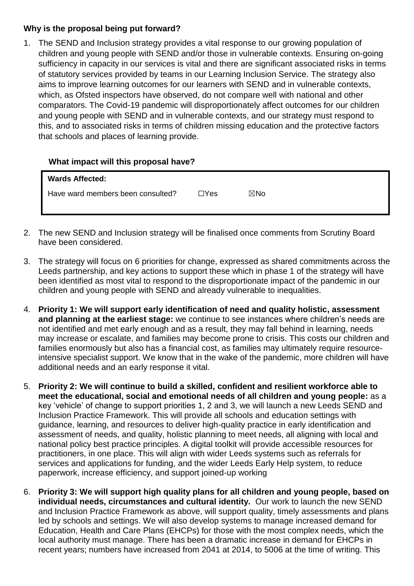## **Why is the proposal being put forward?**

1. The SEND and Inclusion strategy provides a vital response to our growing population of children and young people with SEND and/or those in vulnerable contexts. Ensuring on-going sufficiency in capacity in our services is vital and there are significant associated risks in terms of statutory services provided by teams in our Learning Inclusion Service. The strategy also aims to improve learning outcomes for our learners with SEND and in vulnerable contexts, which, as Ofsted inspectors have observed, do not compare well with national and other comparators. The Covid-19 pandemic will disproportionately affect outcomes for our children and young people with SEND and in vulnerable contexts, and our strategy must respond to this, and to associated risks in terms of children missing education and the protective factors that schools and places of learning provide.

### **What impact will this proposal have?**

| <b>Wards Affected:</b>            |      |     |
|-----------------------------------|------|-----|
| Have ward members been consulted? | ⊐Yes | ⊠No |
|                                   |      |     |

- 2. The new SEND and Inclusion strategy will be finalised once comments from Scrutiny Board have been considered.
- 3. The strategy will focus on 6 priorities for change, expressed as shared commitments across the Leeds partnership, and key actions to support these which in phase 1 of the strategy will have been identified as most vital to respond to the disproportionate impact of the pandemic in our children and young people with SEND and already vulnerable to inequalities.
- 4. **Priority 1: We will support early identification of need and quality holistic, assessment and planning at the earliest stage:** we continue to see instances where children's needs are not identified and met early enough and as a result, they may fall behind in learning, needs may increase or escalate, and families may become prone to crisis. This costs our children and families enormously but also has a financial cost, as families may ultimately require resourceintensive specialist support. We know that in the wake of the pandemic, more children will have additional needs and an early response it vital.
- 5. **Priority 2: We will continue to build a skilled, confident and resilient workforce able to meet the educational, social and emotional needs of all children and young people:** as a key 'vehicle' of change to support priorities 1, 2 and 3, we will launch a new Leeds SEND and Inclusion Practice Framework. This will provide all schools and education settings with guidance, learning, and resources to deliver high-quality practice in early identification and assessment of needs, and quality, holistic planning to meet needs, all aligning with local and national policy best practice principles. A digital toolkit will provide accessible resources for practitioners, in one place. This will align with wider Leeds systems such as referrals for services and applications for funding, and the wider Leeds Early Help system, to reduce paperwork, increase efficiency, and support joined-up working
- 6. **Priority 3: We will support high quality plans for all children and young people, based on individual needs, circumstances and cultural identity.** Our work to launch the new SEND and Inclusion Practice Framework as above, will support quality, timely assessments and plans led by schools and settings. We will also develop systems to manage increased demand for Education, Health and Care Plans (EHCPs) for those with the most complex needs, which the local authority must manage. There has been a dramatic increase in demand for EHCPs in recent years; numbers have increased from 2041 at 2014, to 5006 at the time of writing. This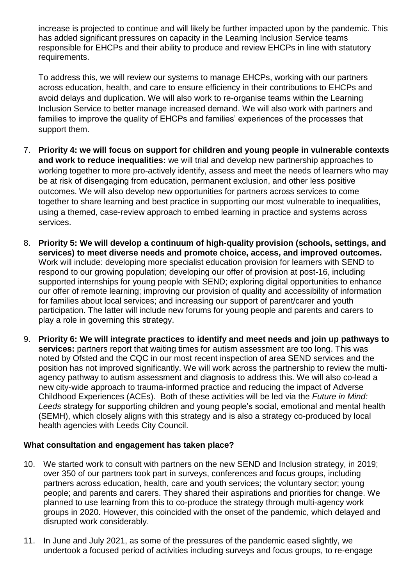increase is projected to continue and will likely be further impacted upon by the pandemic. This has added significant pressures on capacity in the Learning Inclusion Service teams responsible for EHCPs and their ability to produce and review EHCPs in line with statutory requirements.

To address this, we will review our systems to manage EHCPs, working with our partners across education, health, and care to ensure efficiency in their contributions to EHCPs and avoid delays and duplication. We will also work to re-organise teams within the Learning Inclusion Service to better manage increased demand. We will also work with partners and families to improve the quality of EHCPs and families' experiences of the processes that support them.

- 7. **Priority 4: we will focus on support for children and young people in vulnerable contexts and work to reduce inequalities:** we will trial and develop new partnership approaches to working together to more pro-actively identify, assess and meet the needs of learners who may be at risk of disengaging from education, permanent exclusion, and other less positive outcomes. We will also develop new opportunities for partners across services to come together to share learning and best practice in supporting our most vulnerable to inequalities, using a themed, case-review approach to embed learning in practice and systems across services.
- 8. **Priority 5: We will develop a continuum of high-quality provision (schools, settings, and services) to meet diverse needs and promote choice, access, and improved outcomes.** Work will include: developing more specialist education provision for learners with SEND to respond to our growing population; developing our offer of provision at post-16, including supported internships for young people with SEND; exploring digital opportunities to enhance our offer of remote learning; improving our provision of quality and accessibility of information for families about local services; and increasing our support of parent/carer and youth participation. The latter will include new forums for young people and parents and carers to play a role in governing this strategy.
- 9. **Priority 6: We will integrate practices to identify and meet needs and join up pathways to services:** partners report that waiting times for autism assessment are too long. This was noted by Ofsted and the CQC in our most recent inspection of area SEND services and the position has not improved significantly. We will work across the partnership to review the multiagency pathway to autism assessment and diagnosis to address this. We will also co-lead a new city-wide approach to trauma-informed practice and reducing the impact of Adverse Childhood Experiences (ACEs). Both of these activities will be led via the *Future in Mind: Leeds* strategy for supporting children and young people's social, emotional and mental health (SEMH), which closely aligns with this strategy and is also a strategy co-produced by local health agencies with Leeds City Council.

# **What consultation and engagement has taken place?**

- 10. We started work to consult with partners on the new SEND and Inclusion strategy, in 2019; over 350 of our partners took part in surveys, conferences and focus groups, including partners across education, health, care and youth services; the voluntary sector; young people; and parents and carers. They shared their aspirations and priorities for change. We planned to use learning from this to co-produce the strategy through multi-agency work groups in 2020. However, this coincided with the onset of the pandemic, which delayed and disrupted work considerably.
- 11. In June and July 2021, as some of the pressures of the pandemic eased slightly, we undertook a focused period of activities including surveys and focus groups, to re-engage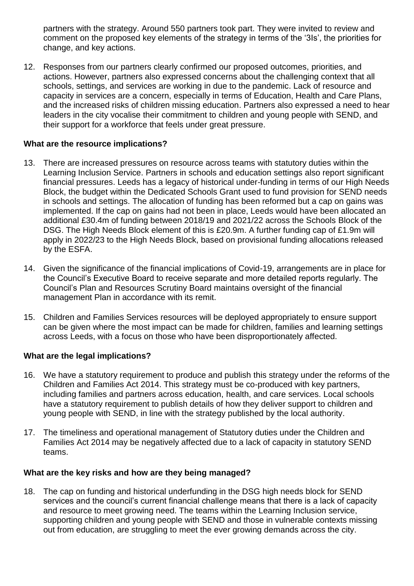partners with the strategy. Around 550 partners took part. They were invited to review and comment on the proposed key elements of the strategy in terms of the '3Is', the priorities for change, and key actions.

12. Responses from our partners clearly confirmed our proposed outcomes, priorities, and actions. However, partners also expressed concerns about the challenging context that all schools, settings, and services are working in due to the pandemic. Lack of resource and capacity in services are a concern, especially in terms of Education, Health and Care Plans, and the increased risks of children missing education. Partners also expressed a need to hear leaders in the city vocalise their commitment to children and young people with SEND, and their support for a workforce that feels under great pressure.

### **What are the resource implications?**

- 13. There are increased pressures on resource across teams with statutory duties within the Learning Inclusion Service. Partners in schools and education settings also report significant financial pressures. Leeds has a legacy of historical under-funding in terms of our High Needs Block, the budget within the Dedicated Schools Grant used to fund provision for SEND needs in schools and settings. The allocation of funding has been reformed but a cap on gains was implemented. If the cap on gains had not been in place, Leeds would have been allocated an additional £30.4m of funding between 2018/19 and 2021/22 across the Schools Block of the DSG. The High Needs Block element of this is £20.9m. A further funding cap of £1.9m will apply in 2022/23 to the High Needs Block, based on provisional funding allocations released by the ESFA.
- 14. Given the significance of the financial implications of Covid-19, arrangements are in place for the Council's Executive Board to receive separate and more detailed reports regularly. The Council's Plan and Resources Scrutiny Board maintains oversight of the financial management Plan in accordance with its remit.
- 15. Children and Families Services resources will be deployed appropriately to ensure support can be given where the most impact can be made for children, families and learning settings across Leeds, with a focus on those who have been disproportionately affected.

#### **What are the legal implications?**

- 16. We have a statutory requirement to produce and publish this strategy under the reforms of the Children and Families Act 2014. This strategy must be co-produced with key partners, including families and partners across education, health, and care services. Local schools have a statutory requirement to publish details of how they deliver support to children and young people with SEND, in line with the strategy published by the local authority.
- 17. The timeliness and operational management of Statutory duties under the Children and Families Act 2014 may be negatively affected due to a lack of capacity in statutory SEND teams.

#### **What are the key risks and how are they being managed?**

18. The cap on funding and historical underfunding in the DSG high needs block for SEND services and the council's current financial challenge means that there is a lack of capacity and resource to meet growing need. The teams within the Learning Inclusion service, supporting children and young people with SEND and those in vulnerable contexts missing out from education, are struggling to meet the ever growing demands across the city.